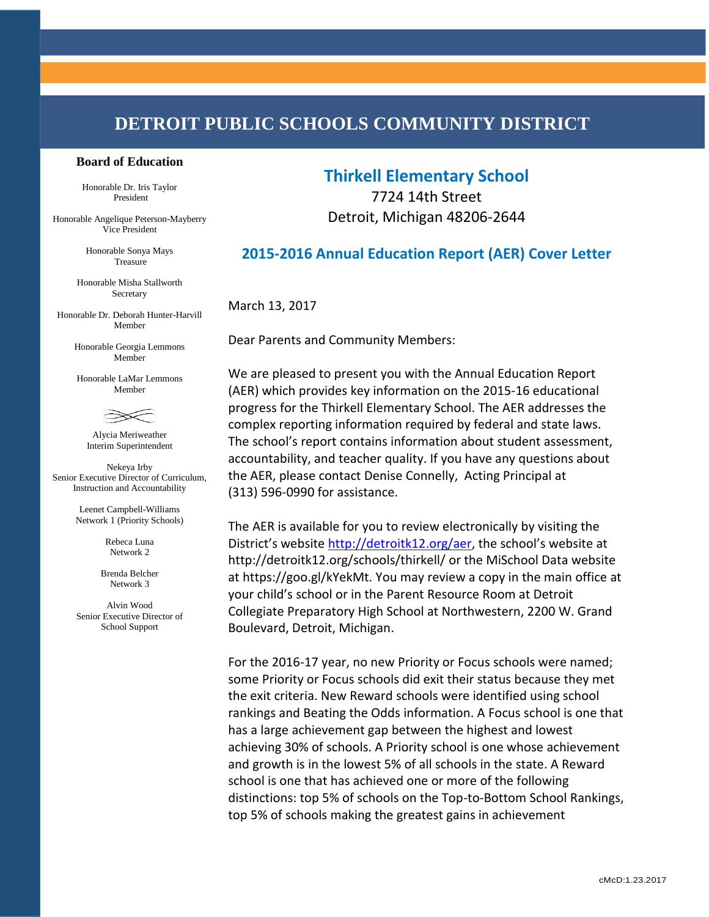# **DETROIT PUBLIC SCHOOLS COMMUNITY DISTRICT**

#### **Board of Education**

Honorable Dr. Iris Taylor President

Honorable Angelique Peterson-Mayberry Vice President

> Honorable Sonya Mays Treasure

Honorable Misha Stallworth Secretary

Honorable Dr. Deborah Hunter-Harvill Member

> Honorable Georgia Lemmons Member

Honorable LaMar Lemmons Member



Alycia Meriweather Interim Superintendent

Nekeya Irby Senior Executive Director of Curriculum, Instruction and Accountability

> Leenet Campbell-Williams Network 1 (Priority Schools)

> > Rebeca Luna Network 2

Brenda Belcher Network 3

Alvin Wood Senior Executive Director of School Support

## **Thirkell Elementary School**

7724 14th Street Detroit, Michigan 48206-2644

### **2015-2016 Annual Education Report (AER) Cover Letter**

March 13, 2017

Dear Parents and Community Members:

We are pleased to present you with the Annual Education Report (AER) which provides key information on the 2015-16 educational progress for the Thirkell Elementary School. The AER addresses the complex reporting information required by federal and state laws. The school's report contains information about student assessment, accountability, and teacher quality. If you have any questions about the AER, please contact Denise Connelly, Acting Principal at (313) 596-0990 for assistance.

The AER is available for you to review electronically by visiting the District's website <http://detroitk12.org/aer>, the school's website at http://detroitk12.org/schools/thirkell/ or the MiSchool Data website at https://goo.gl/kYekMt. You may review a copy in the main office at your child's school or in the Parent Resource Room at Detroit Collegiate Preparatory High School at Northwestern, 2200 W. Grand Boulevard, Detroit, Michigan.

For the 2016-17 year, no new Priority or Focus schools were named; some Priority or Focus schools did exit their status because they met the exit criteria. New Reward schools were identified using school rankings and Beating the Odds information. A Focus school is one that has a large achievement gap between the highest and lowest achieving 30% of schools. A Priority school is one whose achievement and growth is in the lowest 5% of all schools in the state. A Reward school is one that has achieved one or more of the following distinctions: top 5% of schools on the Top-to-Bottom School Rankings, top 5% of schools making the greatest gains in achievement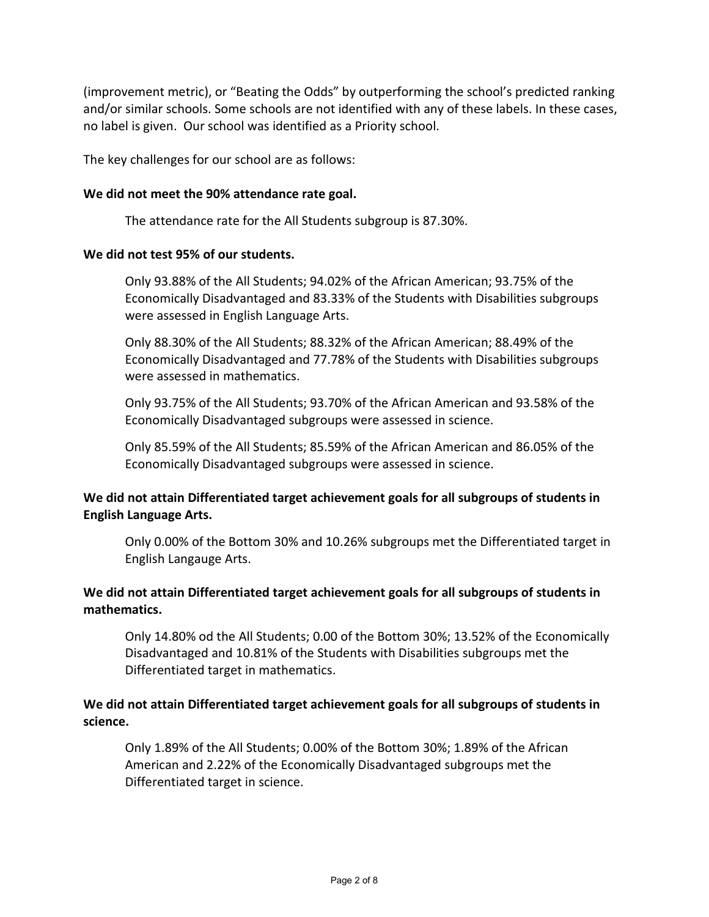(improvement metric), or "Beating the Odds" by outperforming the school's predicted ranking and/or similar schools. Some schools are not identified with any of these labels. In these cases, no label is given. Our school was identified as a Priority school.

The key challenges for our school are as follows:

#### **We did not meet the 90% attendance rate goal.**

The attendance rate for the All Students subgroup is 87.30%.

#### **We did not test 95% of our students.**

Only 93.88% of the All Students; 94.02% of the African American; 93.75% of the Economically Disadvantaged and 83.33% of the Students with Disabilities subgroups were assessed in English Language Arts.

Only 88.30% of the All Students; 88.32% of the African American; 88.49% of the Economically Disadvantaged and 77.78% of the Students with Disabilities subgroups were assessed in mathematics.

Only 93.75% of the All Students; 93.70% of the African American and 93.58% of the Economically Disadvantaged subgroups were assessed in science.

Only 85.59% of the All Students; 85.59% of the African American and 86.05% of the Economically Disadvantaged subgroups were assessed in science.

### **We did not attain Differentiated target achievement goals for all subgroups of students in English Language Arts.**

Only 0.00% of the Bottom 30% and 10.26% subgroups met the Differentiated target in English Langauge Arts.

### **We did not attain Differentiated target achievement goals for all subgroups of students in mathematics.**

Only 14.80% od the All Students; 0.00 of the Bottom 30%; 13.52% of the Economically Disadvantaged and 10.81% of the Students with Disabilities subgroups met the Differentiated target in mathematics.

### **We did not attain Differentiated target achievement goals for all subgroups of students in science.**

Only 1.89% of the All Students; 0.00% of the Bottom 30%; 1.89% of the African American and 2.22% of the Economically Disadvantaged subgroups met the Differentiated target in science.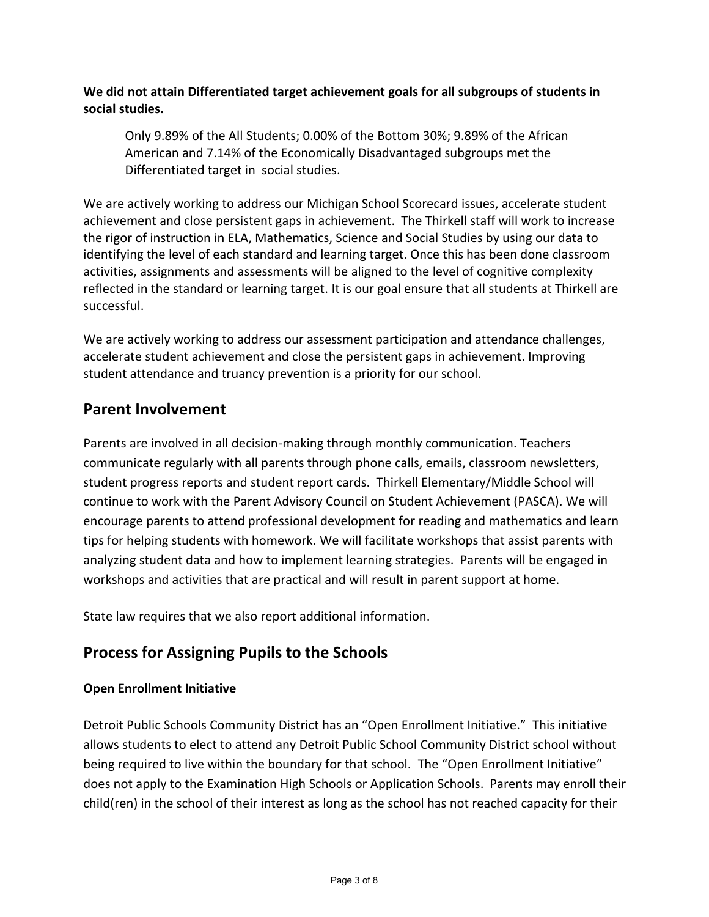**We did not attain Differentiated target achievement goals for all subgroups of students in social studies.**

Only 9.89% of the All Students; 0.00% of the Bottom 30%; 9.89% of the African American and 7.14% of the Economically Disadvantaged subgroups met the Differentiated target in social studies.

We are actively working to address our Michigan School Scorecard issues, accelerate student achievement and close persistent gaps in achievement. The Thirkell staff will work to increase the rigor of instruction in ELA, Mathematics, Science and Social Studies by using our data to identifying the level of each standard and learning target. Once this has been done classroom activities, assignments and assessments will be aligned to the level of cognitive complexity reflected in the standard or learning target. It is our goal ensure that all students at Thirkell are successful.

We are actively working to address our assessment participation and attendance challenges, accelerate student achievement and close the persistent gaps in achievement. Improving student attendance and truancy prevention is a priority for our school.

## **Parent Involvement**

Parents are involved in all decision-making through monthly communication. Teachers communicate regularly with all parents through phone calls, emails, classroom newsletters, student progress reports and student report cards. Thirkell Elementary/Middle School will continue to work with the Parent Advisory Council on Student Achievement (PASCA). We will encourage parents to attend professional development for reading and mathematics and learn tips for helping students with homework. We will facilitate workshops that assist parents with analyzing student data and how to implement learning strategies. Parents will be engaged in workshops and activities that are practical and will result in parent support at home.

State law requires that we also report additional information.

# **Process for Assigning Pupils to the Schools**

## **Open Enrollment Initiative**

Detroit Public Schools Community District has an "Open Enrollment Initiative." This initiative allows students to elect to attend any Detroit Public School Community District school without being required to live within the boundary for that school. The "Open Enrollment Initiative" does not apply to the Examination High Schools or Application Schools. Parents may enroll their child(ren) in the school of their interest as long as the school has not reached capacity for their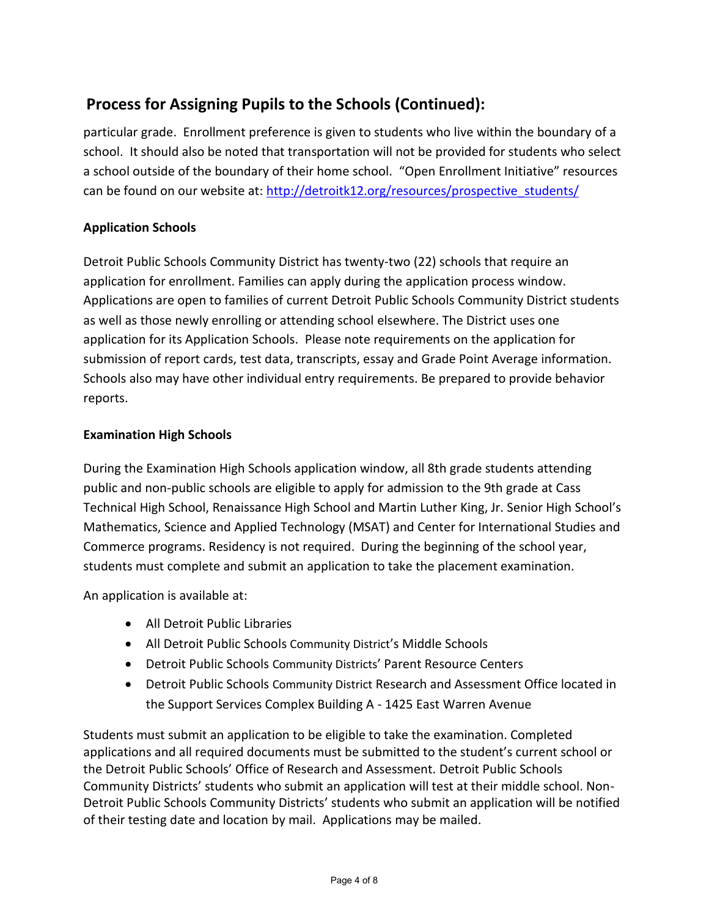# **Process for Assigning Pupils to the Schools (Continued):**

particular grade. Enrollment preference is given to students who live within the boundary of a school. It should also be noted that transportation will not be provided for students who select a school outside of the boundary of their home school. "Open Enrollment Initiative" resources can be found on our website at: [http://detroitk12.org/resources/prospective\\_students/](http://detroitk12.org/resources/prospective_students/)

### **Application Schools**

Detroit Public Schools Community District has twenty-two (22) schools that require an application for enrollment. Families can apply during the application process window. Applications are open to families of current Detroit Public Schools Community District students as well as those newly enrolling or attending school elsewhere. The District uses one application for its Application Schools. Please note requirements on the application for submission of report cards, test data, transcripts, essay and Grade Point Average information. Schools also may have other individual entry requirements. Be prepared to provide behavior reports.

### **Examination High Schools**

During the Examination High Schools application window, all 8th grade students attending public and non-public schools are eligible to apply for admission to the 9th grade at Cass Technical High School, Renaissance High School and Martin Luther King, Jr. Senior High School's Mathematics, Science and Applied Technology (MSAT) and Center for International Studies and Commerce programs. Residency is not required. During the beginning of the school year, students must complete and submit an application to take the placement examination.

An application is available at:

- All Detroit Public Libraries
- All Detroit Public Schools Community District's Middle Schools
- Detroit Public Schools Community Districts' Parent Resource Centers
- Detroit Public Schools Community District Research and Assessment Office located in the Support Services Complex Building A - 1425 East Warren Avenue

Students must submit an application to be eligible to take the examination. Completed applications and all required documents must be submitted to the student's current school or the Detroit Public Schools' Office of Research and Assessment. Detroit Public Schools Community Districts' students who submit an application will test at their middle school. Non-Detroit Public Schools Community Districts' students who submit an application will be notified of their testing date and location by mail. Applications may be mailed.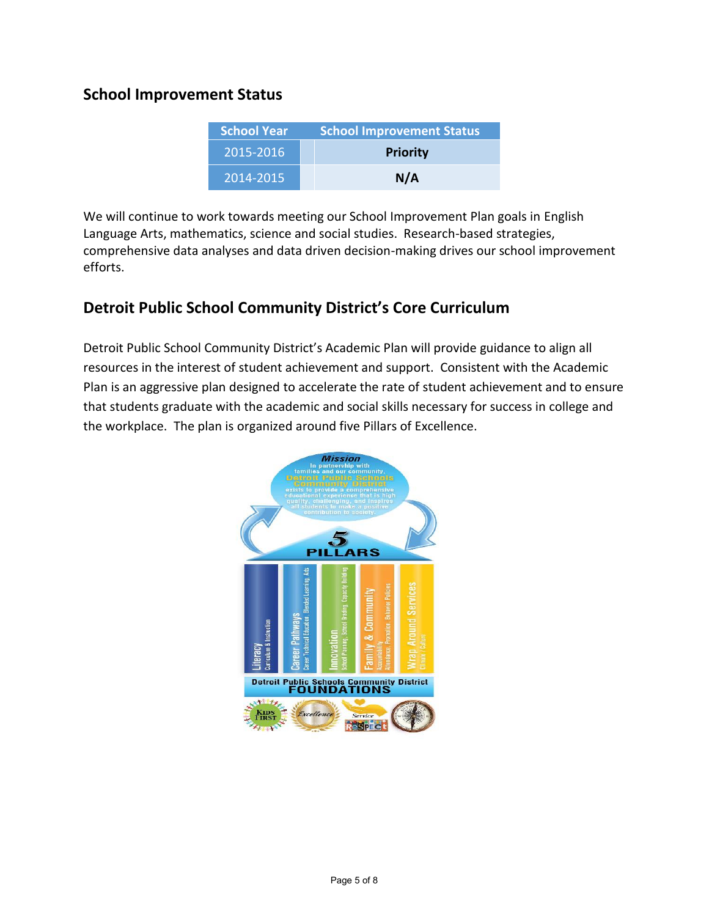## **School Improvement Status**

| <b>School Year</b> | <b>School Improvement Status</b> |  |
|--------------------|----------------------------------|--|
| 2015-2016          | <b>Priority</b>                  |  |
| 2014-2015          | N/A                              |  |

We will continue to work towards meeting our School Improvement Plan goals in English Language Arts, mathematics, science and social studies. Research-based strategies, comprehensive data analyses and data driven decision-making drives our school improvement efforts.

## **Detroit Public School Community District's Core Curriculum**

Detroit Public School Community District's Academic Plan will provide guidance to align all resources in the interest of student achievement and support. Consistent with the Academic Plan is an aggressive plan designed to accelerate the rate of student achievement and to ensure that students graduate with the academic and social skills necessary for success in college and the workplace. The plan is organized around five Pillars of Excellence.

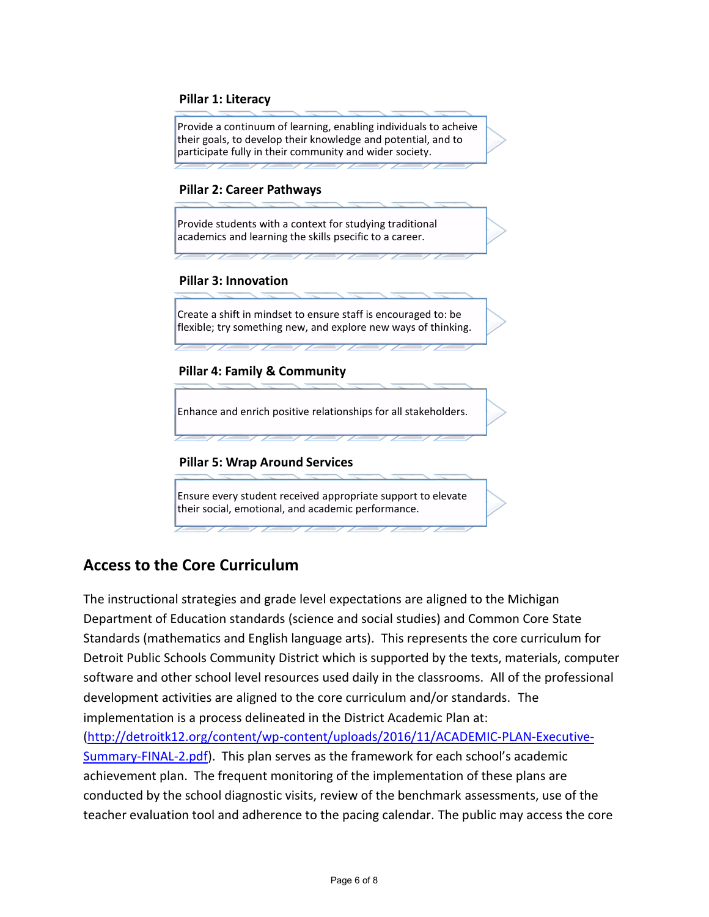#### **Pillar 1: Literacy**

Provide a continuum of learning, enabling individuals to acheive their goals, to develop their knowledge and potential, and to participate fully in their community and wider society.

#### **Pillar 2: Career Pathways**

Provide students with a context for studying traditional academics and learning the skills psecific to a career.

#### **Pillar 3: Innovation**

Create a shift in mindset to ensure staff is encouraged to: be flexible; try something new, and explore new ways of thinking.

#### **Pillar 4: Family & Community**

Enhance and enrich positive relationships for all stakeholders.

#### **Pillar 5: Wrap Around Services**

Ensure every student received appropriate support to elevate their social, emotional, and academic performance.

## **Access to the Core Curriculum**

The instructional strategies and grade level expectations are aligned to the Michigan Department of Education standards (science and social studies) and Common Core State Standards (mathematics and English language arts). This represents the core curriculum for Detroit Public Schools Community District which is supported by the texts, materials, computer software and other school level resources used daily in the classrooms. All of the professional development activities are aligned to the core curriculum and/or standards. The implementation is a process delineated in the District Academic Plan at: [\(http://detroitk12.org/content/wp-content/uploads/2016/11/ACADEMIC-PLAN-Executive-](http://detroitk12.org/content/wp-content/uploads/2016/11/ACADEMIC-PLAN-Executive-Summary-FINAL-2.pdf)[Summary-FINAL-2.pdf](http://detroitk12.org/content/wp-content/uploads/2016/11/ACADEMIC-PLAN-Executive-Summary-FINAL-2.pdf)). This plan serves as the framework for each school's academic achievement plan. The frequent monitoring of the implementation of these plans are conducted by the school diagnostic visits, review of the benchmark assessments, use of the teacher evaluation tool and adherence to the pacing calendar. The public may access the core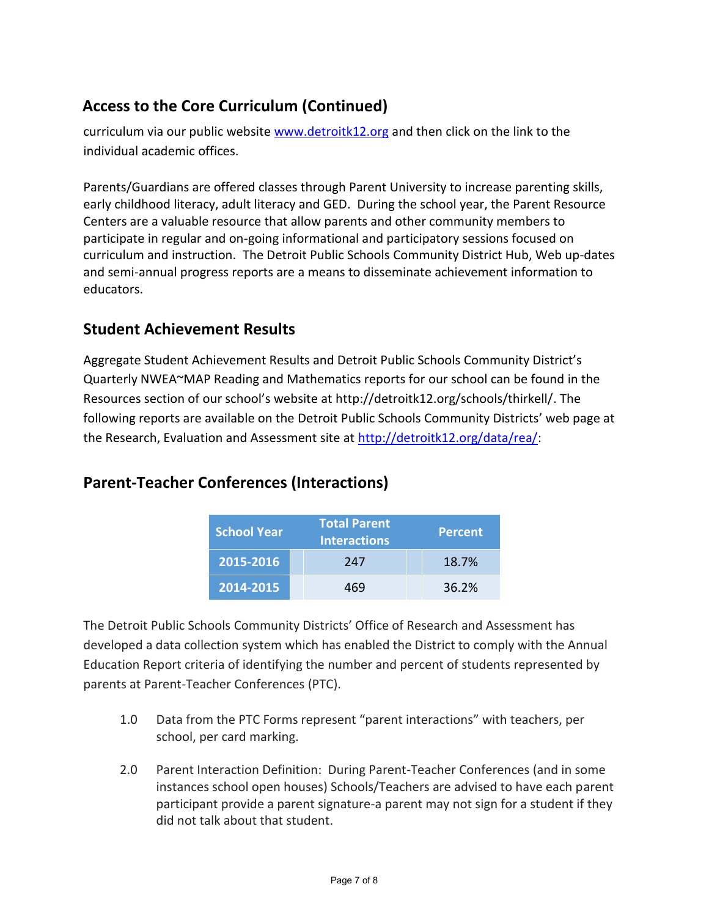# **Access to the Core Curriculum (Continued)**

curriculum via our public website [www.detroitk12.org](http://www.detroitk12.org/) and then click on the link to the individual academic offices.

Parents/Guardians are offered classes through Parent University to increase parenting skills, early childhood literacy, adult literacy and GED. During the school year, the Parent Resource Centers are a valuable resource that allow parents and other community members to participate in regular and on-going informational and participatory sessions focused on curriculum and instruction. The Detroit Public Schools Community District Hub, Web up-dates and semi-annual progress reports are a means to disseminate achievement information to educators.

## **Student Achievement Results**

Aggregate Student Achievement Results and Detroit Public Schools Community District's Quarterly NWEA~MAP Reading and Mathematics reports for our school can be found in the Resources section of our school's website at http://detroitk12.org/schools/thirkell/. The following reports are available on the Detroit Public Schools Community Districts' web page at the Research, Evaluation and Assessment site at [http://detroitk12.org/data/rea/:](http://detroitk12.org/data/rea/)

## **Parent-Teacher Conferences (Interactions)**

| <b>School Year</b> | <b>Total Parent</b><br><b>Interactions</b> | <b>Percent</b> |
|--------------------|--------------------------------------------|----------------|
| 2015-2016          | 247                                        | 18.7%          |
| 2014-2015          | 469                                        | 36.2%          |

The Detroit Public Schools Community Districts' Office of Research and Assessment has developed a data collection system which has enabled the District to comply with the Annual Education Report criteria of identifying the number and percent of students represented by parents at Parent-Teacher Conferences (PTC).

- 1.0 Data from the PTC Forms represent "parent interactions" with teachers, per school, per card marking.
- 2.0 Parent Interaction Definition: During Parent-Teacher Conferences (and in some instances school open houses) Schools/Teachers are advised to have each parent participant provide a parent signature-a parent may not sign for a student if they did not talk about that student.